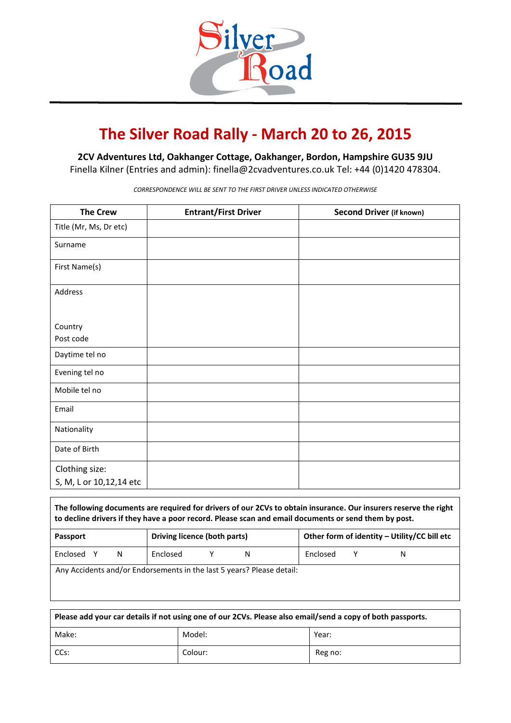

## **The Silver Road Rally - March 20 to 26, 2015**

**2CV Adventures Ltd, Oakhanger Cottage, Oakhanger, Bordon, Hampshire GU35 9JU**

Finella Kilner (Entries and admin): [finella@2cvadventures.co.uk](mailto:finella@2cvadventures.co.uk) Tel: +44 (0)1420 478304.

*CORRESPONDENCE WILL BE SENT TO THE FIRST DRIVER UNLESS INDICATED OTHERWISE*

| <b>The Crew</b>         | <b>Entrant/First Driver</b> | <b>Second Driver (if known)</b> |
|-------------------------|-----------------------------|---------------------------------|
| Title (Mr, Ms, Dr etc)  |                             |                                 |
| Surname                 |                             |                                 |
| First Name(s)           |                             |                                 |
| Address                 |                             |                                 |
|                         |                             |                                 |
| Country                 |                             |                                 |
| Post code               |                             |                                 |
| Daytime tel no          |                             |                                 |
| Evening tel no          |                             |                                 |
| Mobile tel no           |                             |                                 |
| Email                   |                             |                                 |
| Nationality             |                             |                                 |
| Date of Birth           |                             |                                 |
| Clothing size:          |                             |                                 |
| S, M, L or 10,12,14 etc |                             |                                 |

| The following documents are required for drivers of our 2CVs to obtain insurance. Our insurers reserve the right<br>to decline drivers if they have a poor record. Please scan and email documents or send them by post. |                              |   |                                              |  |   |
|--------------------------------------------------------------------------------------------------------------------------------------------------------------------------------------------------------------------------|------------------------------|---|----------------------------------------------|--|---|
| <b>Passport</b>                                                                                                                                                                                                          | Driving licence (both parts) |   | Other form of identity - Utility/CC bill etc |  |   |
| Enclosed Y<br>N                                                                                                                                                                                                          | Enclosed                     | N | Enclosed                                     |  | N |
| Any Accidents and/or Endorsements in the last 5 years? Please detail:                                                                                                                                                    |                              |   |                                              |  |   |

| Please add your car details if not using one of our 2CVs. Please also email/send a copy of both passports. |         |         |  |
|------------------------------------------------------------------------------------------------------------|---------|---------|--|
| Make:                                                                                                      | Model:  | Year:   |  |
| CCs:                                                                                                       | Colour: | Reg no: |  |